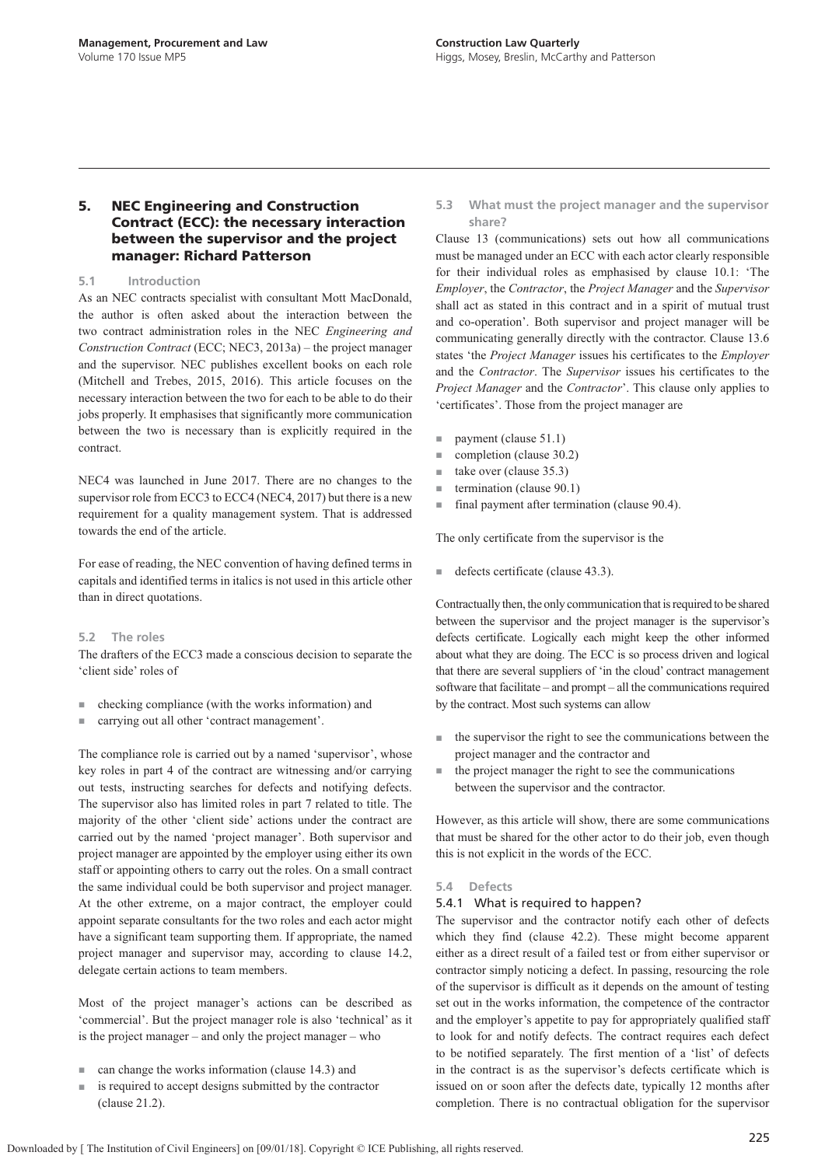# **5. NEC Engineering and Construction Contract (ECC): the necessary interaction between the supervisor and the project manager: Richard Patterson**

## **5.1 Introduction**

As an NEC contracts specialist with consultant Mott MacDonald, the author is often asked about the interaction between the two contract administration roles in the NEC *Engineering and Construction Contract* (ECC; NEC3, 2013a) – the project manager and the supervisor. NEC publishes excellent books on each role (Mitchell and Trebes, 2015, 2016). This article focuses on the necessary interaction between the two for each to be able to do their jobs properly. It emphasises that significantly more communication between the two is necessary than is explicitly required in the contract.

NEC4 was launched in June 2017. There are no changes to the supervisor role from ECC3 to ECC4 (NEC4, 2017) but there is a new requirement for a quality management system. That is addressed towards the end of the article.

For ease of reading, the NEC convention of having defined terms in capitals and identified terms in italics is not used in this article other than in direct quotations.

## **5.2 The roles**

The drafters of the ECC3 made a conscious decision to separate the 'client side' roles of

- checking compliance (with the works information) and
- carrying out all other 'contract management'.

The compliance role is carried out by a named 'supervisor', whose key roles in part 4 of the contract are witnessing and/or carrying out tests, instructing searches for defects and notifying defects. The supervisor also has limited roles in part 7 related to title. The majority of the other 'client side' actions under the contract are carried out by the named 'project manager'. Both supervisor and project manager are appointed by the employer using either its own staff or appointing others to carry out the roles. On a small contract the same individual could be both supervisor and project manager. At the other extreme, on a major contract, the employer could appoint separate consultants for the two roles and each actor might have a significant team supporting them. If appropriate, the named project manager and supervisor may, according to clause 14.2, delegate certain actions to team members.

Most of the project manager's actions can be described as 'commercial'. But the project manager role is also 'technical' as it is the project manager – and only the project manager – who

- can change the works information (clause 14.3) and
- is required to accept designs submitted by the contractor (clause 21.2).

**5.3 What must the project manager and the supervisor share?**

Clause 13 (communications) sets out how all communications must be managed under an ECC with each actor clearly responsible for their individual roles as emphasised by clause 10.1: 'The *Employer*, the *Contractor*, the *Project Manager* and the *Supervisor* shall act as stated in this contract and in a spirit of mutual trust and co-operation'. Both supervisor and project manager will be communicating generally directly with the contractor. Clause 13.6 states 'the *Project Manager* issues his certificates to the *Employer* and the *Contractor*. The *Supervisor* issues his certificates to the *Project Manager* and the *Contractor*'. This clause only applies to 'certificates'. Those from the project manager are

- payment (clause 51.1)
- completion (clause 30.2)
- take over (clause 35.3)
- termination (clause 90.1)
- final payment after termination (clause 90.4).

The only certificate from the supervisor is the

defects certificate (clause 43.3).

Contractually then, the only communication that is required to be shared between the supervisor and the project manager is the supervisor's defects certificate. Logically each might keep the other informed about what they are doing. The ECC is so process driven and logical that there are several suppliers of 'in the cloud' contract management software that facilitate – and prompt – all the communications required by the contract. Most such systems can allow

- the supervisor the right to see the communications between the project manager and the contractor and
- the project manager the right to see the communications between the supervisor and the contractor.

However, as this article will show, there are some communications that must be shared for the other actor to do their job, even though this is not explicit in the words of the ECC.

## **5.4 Defects**

## 5.4.1 What is required to happen?

The supervisor and the contractor notify each other of defects which they find (clause 42.2). These might become apparent either as a direct result of a failed test or from either supervisor or contractor simply noticing a defect. In passing, resourcing the role of the supervisor is difficult as it depends on the amount of testing set out in the works information, the competence of the contractor and the employer's appetite to pay for appropriately qualified staff to look for and notify defects. The contract requires each defect to be notified separately. The first mention of a 'list' of defects in the contract is as the supervisor's defects certificate which is issued on or soon after the defects date, typically 12 months after completion. There is no contractual obligation for the supervisor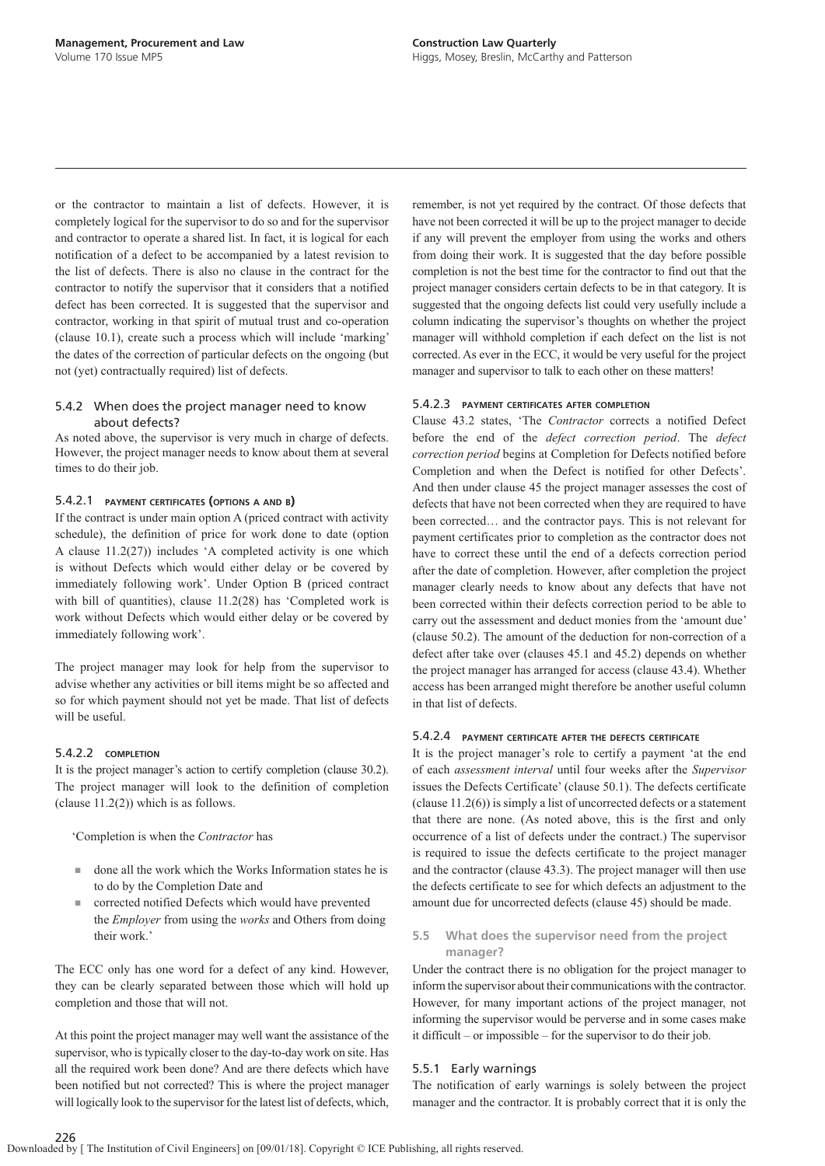or the contractor to maintain a list of defects. However, it is completely logical for the supervisor to do so and for the supervisor and contractor to operate a shared list. In fact, it is logical for each notification of a defect to be accompanied by a latest revision to the list of defects. There is also no clause in the contract for the contractor to notify the supervisor that it considers that a notified defect has been corrected. It is suggested that the supervisor and contractor, working in that spirit of mutual trust and co-operation (clause 10.1), create such a process which will include 'marking' the dates of the correction of particular defects on the ongoing (but not (yet) contractually required) list of defects.

# 5.4.2 When does the project manager need to know about defects?

As noted above, the supervisor is very much in charge of defects. However, the project manager needs to know about them at several times to do their job.

## 5.4.2.1 **PAYMENT CERTIFICATES (OPTIONS <sup>A</sup> AND B)**

If the contract is under main option A (priced contract with activity schedule), the definition of price for work done to date (option A clause 11.2(27)) includes 'A completed activity is one which is without Defects which would either delay or be covered by immediately following work'. Under Option B (priced contract with bill of quantities), clause 11.2(28) has 'Completed work is work without Defects which would either delay or be covered by immediately following work'.

The project manager may look for help from the supervisor to advise whether any activities or bill items might be so affected and so for which payment should not yet be made. That list of defects will be useful.

#### 5.4.2.2 **COMPLETION**

It is the project manager's action to certify completion (clause 30.2). The project manager will look to the definition of completion (clause 11.2(2)) which is as follows.

'Completion is when the *Contractor* has

- done all the work which the Works Information states he is to do by the Completion Date and
- corrected notified Defects which would have prevented the *Employer* from using the *works* and Others from doing their work.'

The ECC only has one word for a defect of any kind. However, they can be clearly separated between those which will hold up completion and those that will not.

At this point the project manager may well want the assistance of the supervisor, who is typically closer to the day-to-day work on site. Has all the required work been done? And are there defects which have been notified but not corrected? This is where the project manager will logically look to the supervisor for the latest list of defects, which,

remember, is not yet required by the contract. Of those defects that have not been corrected it will be up to the project manager to decide if any will prevent the employer from using the works and others from doing their work. It is suggested that the day before possible completion is not the best time for the contractor to find out that the project manager considers certain defects to be in that category. It is suggested that the ongoing defects list could very usefully include a column indicating the supervisor's thoughts on whether the project manager will withhold completion if each defect on the list is not corrected. As ever in the ECC, it would be very useful for the project manager and supervisor to talk to each other on these matters!

# 5.4.2.3 **PAYMENT CERTIFICATES AFTER COMPLETION**

Clause 43.2 states, 'The *Contractor* corrects a notified Defect before the end of the *defect correction period*. The *defect correction period* begins at Completion for Defects notified before Completion and when the Defect is notified for other Defects'. And then under clause 45 the project manager assesses the cost of defects that have not been corrected when they are required to have been corrected… and the contractor pays. This is not relevant for payment certificates prior to completion as the contractor does not have to correct these until the end of a defects correction period after the date of completion. However, after completion the project manager clearly needs to know about any defects that have not been corrected within their defects correction period to be able to carry out the assessment and deduct monies from the 'amount due' (clause 50.2). The amount of the deduction for non-correction of a defect after take over (clauses 45.1 and 45.2) depends on whether the project manager has arranged for access (clause 43.4). Whether access has been arranged might therefore be another useful column in that list of defects.

#### 5.4.2.4 **PAYMENT CERTIFICATE AFTER THE DEFECTS CERTIFICATE**

It is the project manager's role to certify a payment 'at the end of each *assessment interval* until four weeks after the *Supervisor* issues the Defects Certificate' (clause 50.1). The defects certificate (clause 11.2(6)) is simply a list of uncorrected defects or a statement that there are none. (As noted above, this is the first and only occurrence of a list of defects under the contract.) The supervisor is required to issue the defects certificate to the project manager and the contractor (clause 43.3). The project manager will then use the defects certificate to see for which defects an adjustment to the amount due for uncorrected defects (clause 45) should be made.

# **5.5 What does the supervisor need from the project manager?**

Under the contract there is no obligation for the project manager to inform the supervisor about their communications with the contractor. However, for many important actions of the project manager, not informing the supervisor would be perverse and in some cases make it difficult – or impossible – for the supervisor to do their job.

## 5.5.1 Early warnings

The notification of early warnings is solely between the project manager and the contractor. It is probably correct that it is only the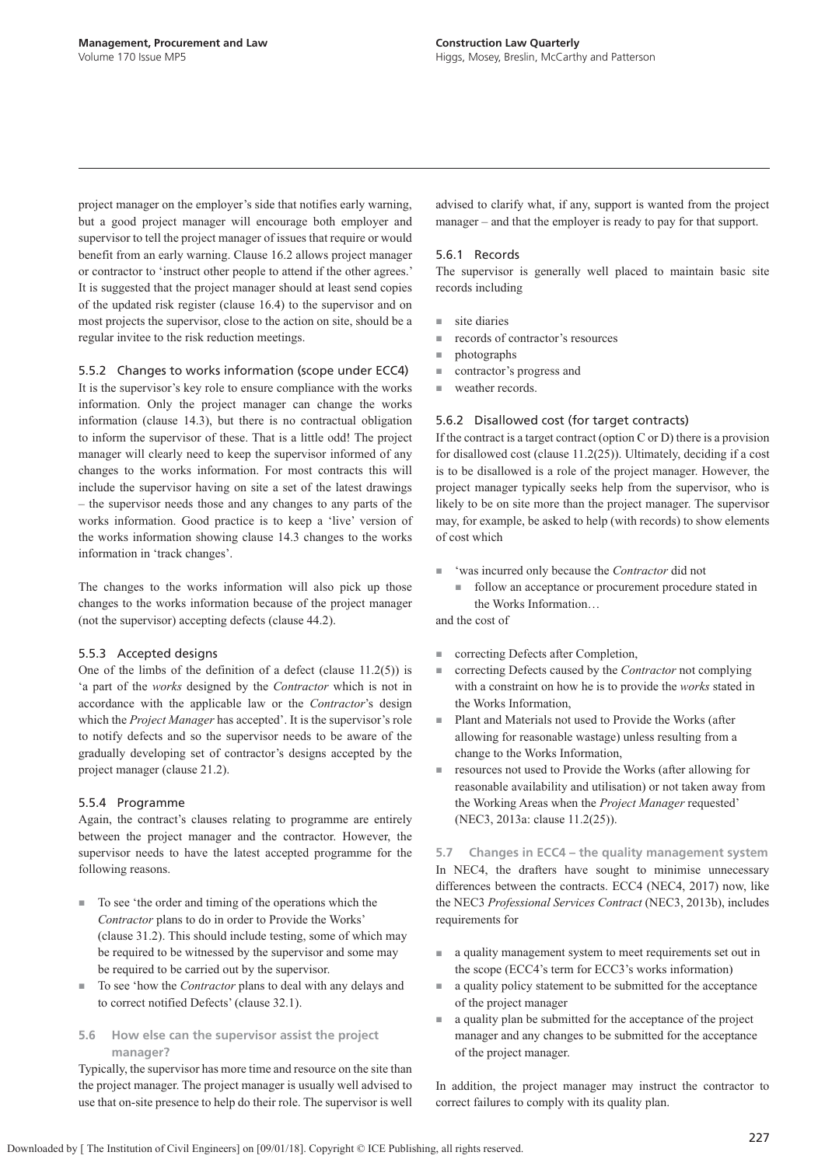project manager on the employer's side that notifies early warning, but a good project manager will encourage both employer and supervisor to tell the project manager of issues that require or would benefit from an early warning. Clause 16.2 allows project manager or contractor to 'instruct other people to attend if the other agrees.' It is suggested that the project manager should at least send copies of the updated risk register (clause 16.4) to the supervisor and on most projects the supervisor, close to the action on site, should be a regular invitee to the risk reduction meetings.

# 5.5.2 Changes to works information (scope under ECC4)

It is the supervisor's key role to ensure compliance with the works information. Only the project manager can change the works information (clause 14.3), but there is no contractual obligation to inform the supervisor of these. That is a little odd! The project manager will clearly need to keep the supervisor informed of any changes to the works information. For most contracts this will include the supervisor having on site a set of the latest drawings – the supervisor needs those and any changes to any parts of the works information. Good practice is to keep a 'live' version of the works information showing clause 14.3 changes to the works information in 'track changes'.

The changes to the works information will also pick up those changes to the works information because of the project manager (not the supervisor) accepting defects (clause 44.2).

## 5.5.3 Accepted designs

One of the limbs of the definition of a defect (clause 11.2(5)) is 'a part of the *works* designed by the *Contractor* which is not in accordance with the applicable law or the *Contractor*'s design which the *Project Manager* has accepted'. It is the supervisor's role to notify defects and so the supervisor needs to be aware of the gradually developing set of contractor's designs accepted by the project manager (clause 21.2).

# 5.5.4 Programme

Again, the contract's clauses relating to programme are entirely between the project manager and the contractor. However, the supervisor needs to have the latest accepted programme for the following reasons.

- To see 'the order and timing of the operations which the *Contractor* plans to do in order to Provide the Works' (clause 31.2). This should include testing, some of which may be required to be witnessed by the supervisor and some may be required to be carried out by the supervisor.
- To see 'how the *Contractor* plans to deal with any delays and to correct notified Defects' (clause 32.1).

# **5.6 How else can the supervisor assist the project manager?**

Typically, the supervisor has more time and resource on the site than the project manager. The project manager is usually well advised to use that on-site presence to help do their role. The supervisor is well advised to clarify what, if any, support is wanted from the project manager – and that the employer is ready to pay for that support.

## 5.6.1 Records

The supervisor is generally well placed to maintain basic site records including

- site diaries
- records of contractor's resources
- photographs
- contractor's progress and
- weather records.

# 5.6.2 Disallowed cost (for target contracts)

If the contract is a target contract (option  $C$  or  $D$ ) there is a provision for disallowed cost (clause 11.2(25)). Ultimately, deciding if a cost is to be disallowed is a role of the project manager. However, the project manager typically seeks help from the supervisor, who is likely to be on site more than the project manager. The supervisor may, for example, be asked to help (with records) to show elements of cost which

- 'was incurred only because the *Contractor* did not
	- follow an acceptance or procurement procedure stated in the Works Information…

and the cost of

- correcting Defects after Completion,
- correcting Defects caused by the *Contractor* not complying with a constraint on how he is to provide the *works* stated in the Works Information,
- Plant and Materials not used to Provide the Works (after allowing for reasonable wastage) unless resulting from a change to the Works Information,
- resources not used to Provide the Works (after allowing for reasonable availability and utilisation) or not taken away from the Working Areas when the *Project Manager* requested' (NEC3, 2013a: clause 11.2(25)).

**5.7 Changes in ECC4 – the quality management system** In NEC4, the drafters have sought to minimise unnecessary differences between the contracts. ECC4 (NEC4, 2017) now, like the NEC3 *Professional Services Contract* (NEC3, 2013b), includes requirements for

- a quality management system to meet requirements set out in the scope (ECC4's term for ECC3's works information)
- a quality policy statement to be submitted for the acceptance of the project manager
- a quality plan be submitted for the acceptance of the project manager and any changes to be submitted for the acceptance of the project manager.

In addition, the project manager may instruct the contractor to correct failures to comply with its quality plan.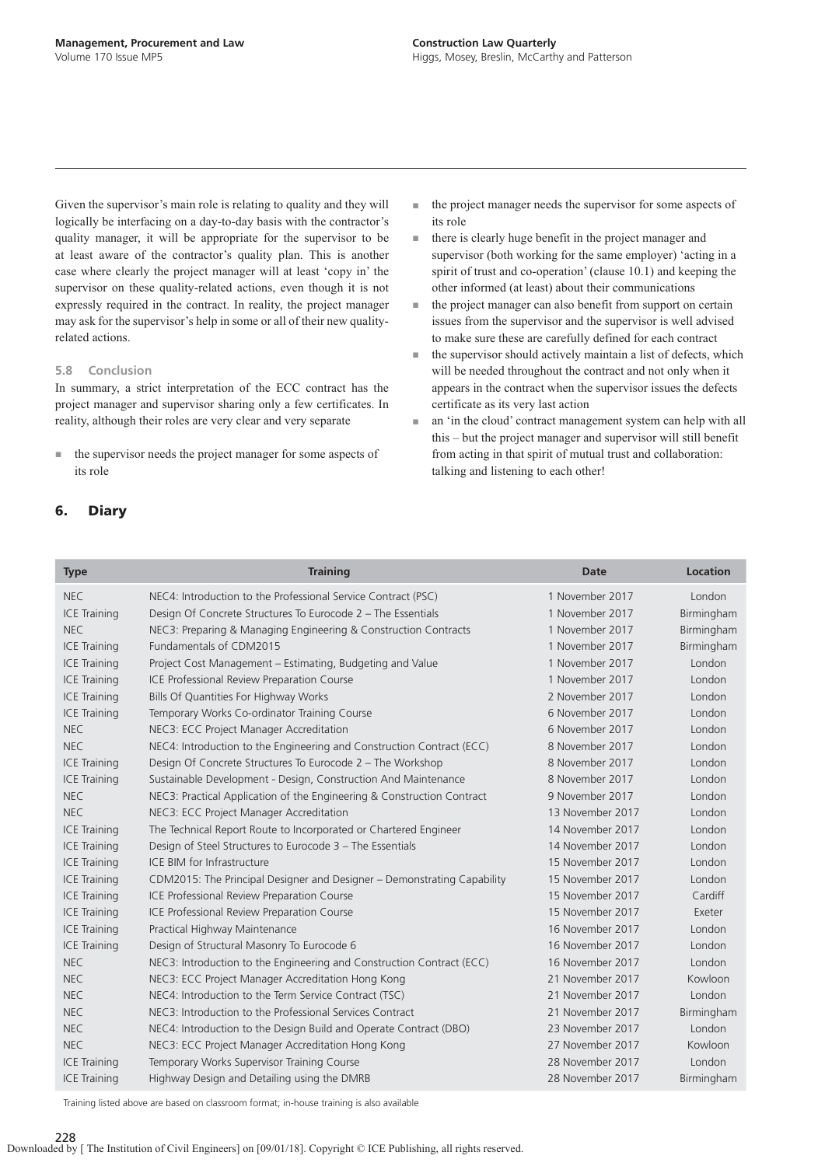Given the supervisor's main role is relating to quality and they will logically be interfacing on a day-to-day basis with the contractor's quality manager, it will be appropriate for the supervisor to be at least aware of the contractor's quality plan. This is another case where clearly the project manager will at least 'copy in' the supervisor on these quality-related actions, even though it is not expressly required in the contract. In reality, the project manager may ask for the supervisor's help in some or all of their new qualityrelated actions.

#### **5.8 Conclusion**

In summary, a strict interpretation of the ECC contract has the project manager and supervisor sharing only a few certificates. In reality, although their roles are very clear and very separate

- the supervisor needs the project manager for some aspects of its role
- **6. Diary**
- the project manager needs the supervisor for some aspects of its role
- there is clearly huge benefit in the project manager and supervisor (both working for the same employer) 'acting in a spirit of trust and co-operation' (clause 10.1) and keeping the other informed (at least) about their communications
- the project manager can also benefit from support on certain issues from the supervisor and the supervisor is well advised to make sure these are carefully defined for each contract
- $\blacksquare$  the supervisor should actively maintain a list of defects, which will be needed throughout the contract and not only when it appears in the contract when the supervisor issues the defects certificate as its very last action
- an 'in the cloud' contract management system can help with all this – but the project manager and supervisor will still benefit from acting in that spirit of mutual trust and collaboration: talking and listening to each other!

| <b>Type</b>         | <b>Training</b>                                                         | <b>Date</b>      | <b>Location</b> |
|---------------------|-------------------------------------------------------------------------|------------------|-----------------|
| <b>NEC</b>          | NEC4: Introduction to the Professional Service Contract (PSC)           | 1 November 2017  | London          |
| <b>ICE Training</b> | Design Of Concrete Structures To Eurocode 2 – The Essentials            | 1 November 2017  | Birmingham      |
| <b>NEC</b>          | NEC3: Preparing & Managing Engineering & Construction Contracts         | 1 November 2017  | Birmingham      |
| <b>ICE Training</b> | Fundamentals of CDM2015                                                 | 1 November 2017  | Birmingham      |
| <b>ICE Training</b> | Project Cost Management – Estimating, Budgeting and Value               | 1 November 2017  | London          |
| <b>ICE Training</b> | ICE Professional Review Preparation Course                              | 1 November 2017  | London          |
| <b>ICE Training</b> | Bills Of Quantities For Highway Works                                   | 2 November 2017  | London          |
| <b>ICE Training</b> | Temporary Works Co-ordinator Training Course                            | 6 November 2017  | London          |
| <b>NEC</b>          | NEC3: ECC Project Manager Accreditation                                 | 6 November 2017  | London          |
| <b>NEC</b>          | NEC4: Introduction to the Engineering and Construction Contract (ECC)   | 8 November 2017  | London          |
| <b>ICE Training</b> | Design Of Concrete Structures To Eurocode 2 - The Workshop              | 8 November 2017  | London          |
| <b>ICE Training</b> | Sustainable Development - Design, Construction And Maintenance          | 8 November 2017  | London          |
| <b>NEC</b>          | NEC3: Practical Application of the Engineering & Construction Contract  | 9 November 2017  | London          |
| <b>NEC</b>          | NEC3: ECC Project Manager Accreditation                                 | 13 November 2017 | London          |
| <b>ICE Training</b> | The Technical Report Route to Incorporated or Chartered Engineer        | 14 November 2017 | London          |
| <b>ICE Training</b> | Design of Steel Structures to Eurocode 3 - The Essentials               | 14 November 2017 | London          |
| <b>ICE Training</b> | ICE BIM for Infrastructure                                              | 15 November 2017 | London          |
| <b>ICE Training</b> | CDM2015: The Principal Designer and Designer – Demonstrating Capability | 15 November 2017 | London          |
| <b>ICE Training</b> | ICE Professional Review Preparation Course                              | 15 November 2017 | Cardiff         |
| <b>ICE Training</b> | ICE Professional Review Preparation Course                              | 15 November 2017 | Exeter          |
| <b>ICE Training</b> | Practical Highway Maintenance                                           | 16 November 2017 | London          |
| <b>ICE Training</b> | Design of Structural Masonry To Eurocode 6                              | 16 November 2017 | London          |
| <b>NEC</b>          | NEC3: Introduction to the Engineering and Construction Contract (ECC)   | 16 November 2017 | London          |
| NEC.                | NEC3: ECC Project Manager Accreditation Hong Kong                       | 21 November 2017 | Kowloon         |
| <b>NEC</b>          | NEC4: Introduction to the Term Service Contract (TSC)                   | 21 November 2017 | London          |
| <b>NEC</b>          | NEC3: Introduction to the Professional Services Contract                | 21 November 2017 | Birmingham      |
| <b>NEC</b>          | NEC4: Introduction to the Design Build and Operate Contract (DBO)       | 23 November 2017 | London          |
| <b>NEC</b>          | NEC3: ECC Project Manager Accreditation Hong Kong                       | 27 November 2017 | Kowloon         |
| <b>ICE Training</b> | Temporary Works Supervisor Training Course                              | 28 November 2017 | London          |
| <b>ICE Training</b> | Highway Design and Detailing using the DMRB                             | 28 November 2017 | Birmingham      |

Training listed above are based on classroom format; in-house training is also available